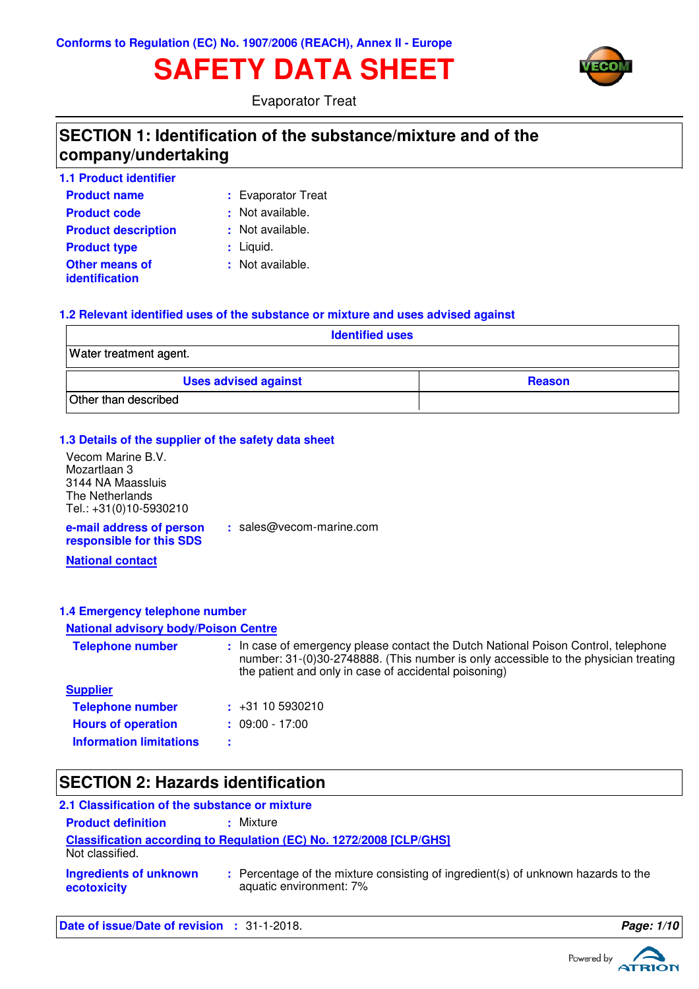# **SAFETY DATA SHEET**



Evaporator Treat

### **SECTION 1: Identification of the substance/mixture and of the company/undertaking**

| <b>1.1 Product identifier</b>    |                    |
|----------------------------------|--------------------|
| <b>Product name</b>              | : Evaporator Treat |
| <b>Product code</b>              | : Not available.   |
| <b>Product description</b>       | : Not available.   |
| <b>Product type</b>              | : Liquid.          |
| Other means of<br>identification | : Not available.   |

### **1.2 Relevant identified uses of the substance or mixture and uses advised against**

| <b>Identified uses</b>      |               |  |
|-----------------------------|---------------|--|
| Water treatment agent.      |               |  |
| <b>Uses advised against</b> | <b>Reason</b> |  |
| Other than described        |               |  |

#### **1.3 Details of the supplier of the safety data sheet**

| Vecom Marine B.V.                                    |                          |
|------------------------------------------------------|--------------------------|
| Mozartlaan 3                                         |                          |
| 3144 NA Maassluis                                    |                          |
| The Netherlands                                      |                          |
| Tel.: +31(0)10-5930210                               |                          |
| e-mail address of person<br>responsible for this SDS | : sales@vecom-marine.com |
| .                                                    |                          |

### **National contact**

#### **1.4 Emergency telephone number**

#### **National advisory body/Poison Centre**

| <b>Telephone number</b>        | : In case of emergency please contact the Dutch National Poison Control, telephone<br>number: 31-(0)30-2748888. (This number is only accessible to the physician treating<br>the patient and only in case of accidental poisoning) |
|--------------------------------|------------------------------------------------------------------------------------------------------------------------------------------------------------------------------------------------------------------------------------|
| <b>Supplier</b>                |                                                                                                                                                                                                                                    |
| <b>Telephone number</b>        | $\div$ +31 10 5930210                                                                                                                                                                                                              |
| <b>Hours of operation</b>      | $: 09:00 - 17:00$                                                                                                                                                                                                                  |
| <b>Information limitations</b> |                                                                                                                                                                                                                                    |

# **SECTION 2: Hazards identification**

| 2.1 Classification of the substance or mixture |                                                                                                              |
|------------------------------------------------|--------------------------------------------------------------------------------------------------------------|
| <b>Product definition</b>                      | : Mixture                                                                                                    |
| Not classified.                                | <b>Classification according to Regulation (EC) No. 1272/2008 [CLP/GHS]</b>                                   |
| Ingredients of unknown<br>ecotoxicity          | : Percentage of the mixture consisting of ingredient(s) of unknown hazards to the<br>aquatic environment: 7% |

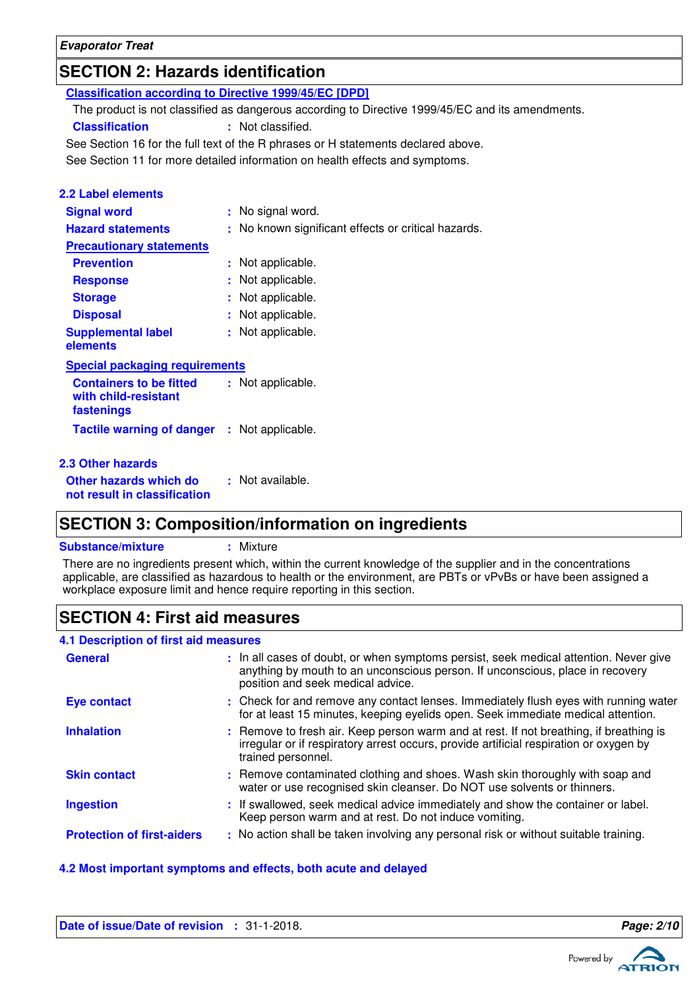**Evaporator Treat**

# **SECTION 2: Hazards identification**

| <b>Classification according to Directive 1999/45/EC [DPD]</b> |                                                                                                  |
|---------------------------------------------------------------|--------------------------------------------------------------------------------------------------|
|                                                               | The product is not classified as dangerous according to Directive 1999/45/EC and its amendments. |
| <b>Classification</b>                                         | : Not classified.                                                                                |
|                                                               | See Section 16 for the full text of the R phrases or H statements declared above.                |
|                                                               | See Section 11 for more detailed information on health effects and symptoms.                     |
|                                                               |                                                                                                  |
| <b>2.2 Label elements</b>                                     |                                                                                                  |
| <b>Signal word</b>                                            | : No signal word.                                                                                |
| <b>Hazard statements</b>                                      | : No known significant effects or critical hazards.                                              |
| <b>Precautionary statements</b>                               |                                                                                                  |
| <b>Prevention</b>                                             | : Not applicable.                                                                                |
| <b>Response</b>                                               | : Not applicable.                                                                                |
| <b>Storage</b>                                                | : Not applicable.                                                                                |
| <b>Disposal</b>                                               | : Not applicable.                                                                                |
| <b>Supplemental label</b>                                     | : Not applicable.                                                                                |
| elements                                                      |                                                                                                  |
| <b>Special packaging requirements</b>                         |                                                                                                  |
| <b>Containers to be fitted</b>                                | : Not applicable.                                                                                |
| with child-resistant                                          |                                                                                                  |
| fastenings                                                    |                                                                                                  |
| <b>Tactile warning of danger : Not applicable.</b>            |                                                                                                  |
|                                                               |                                                                                                  |
| 2.3 Other hazards                                             |                                                                                                  |
| Other hazards which do                                        | : Not available.                                                                                 |
| not result in classification                                  |                                                                                                  |
|                                                               |                                                                                                  |

# **SECTION 3: Composition/information on ingredients**

**Substance/mixture :** Mixture

There are no ingredients present which, within the current knowledge of the supplier and in the concentrations applicable, are classified as hazardous to health or the environment, are PBTs or vPvBs or have been assigned a workplace exposure limit and hence require reporting in this section.

# **SECTION 4: First aid measures**

| 4.1 Description of first aid measures |                                                                                                                                                                                                             |
|---------------------------------------|-------------------------------------------------------------------------------------------------------------------------------------------------------------------------------------------------------------|
| <b>General</b>                        | : In all cases of doubt, or when symptoms persist, seek medical attention. Never give<br>anything by mouth to an unconscious person. If unconscious, place in recovery<br>position and seek medical advice. |
| <b>Eye contact</b>                    | : Check for and remove any contact lenses. Immediately flush eyes with running water<br>for at least 15 minutes, keeping eyelids open. Seek immediate medical attention.                                    |
| <b>Inhalation</b>                     | : Remove to fresh air. Keep person warm and at rest. If not breathing, if breathing is<br>irregular or if respiratory arrest occurs, provide artificial respiration or oxygen by<br>trained personnel.      |
| <b>Skin contact</b>                   | : Remove contaminated clothing and shoes. Wash skin thoroughly with soap and<br>water or use recognised skin cleanser. Do NOT use solvents or thinners.                                                     |
| <b>Ingestion</b>                      | : If swallowed, seek medical advice immediately and show the container or label.<br>Keep person warm and at rest. Do not induce vomiting.                                                                   |
| <b>Protection of first-aiders</b>     | : No action shall be taken involving any personal risk or without suitable training.                                                                                                                        |

### **4.2 Most important symptoms and effects, both acute and delayed**

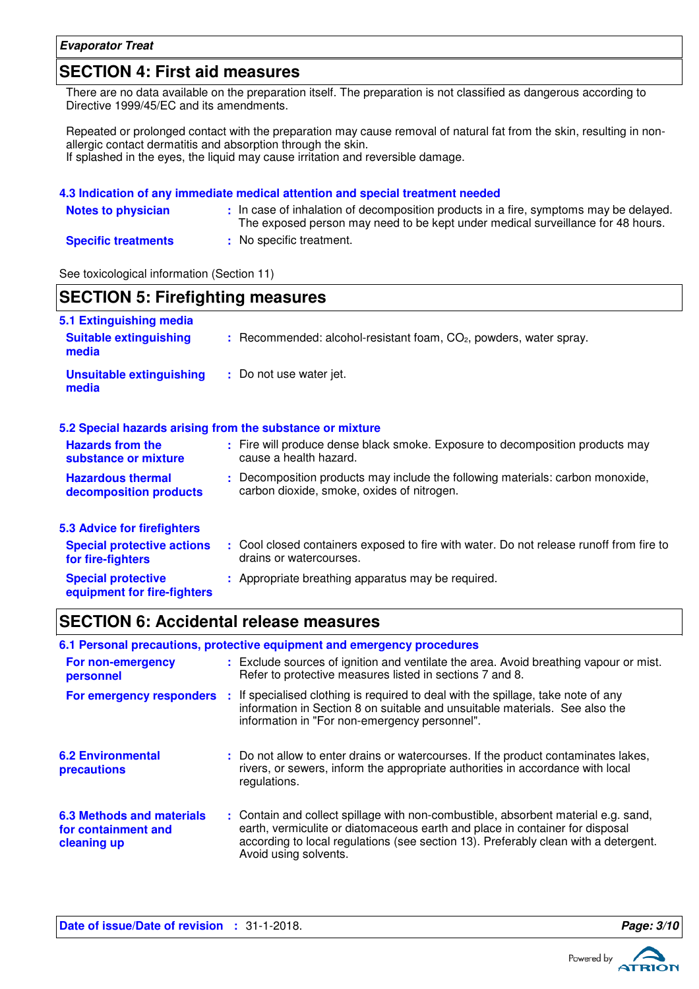#### **Evaporator Treat**

### **SECTION 4: First aid measures**

There are no data available on the preparation itself. The preparation is not classified as dangerous according to Directive 1999/45/EC and its amendments.

Repeated or prolonged contact with the preparation may cause removal of natural fat from the skin, resulting in nonallergic contact dermatitis and absorption through the skin. If splashed in the eyes, the liquid may cause irritation and reversible damage.

|                            | 4.3 Indication of any immediate medical attention and special treatment needed                                                                                         |
|----------------------------|------------------------------------------------------------------------------------------------------------------------------------------------------------------------|
| <b>Notes to physician</b>  | In case of inhalation of decomposition products in a fire, symptoms may be delayed.<br>The exposed person may need to be kept under medical surveillance for 48 hours. |
| <b>Specific treatments</b> | : No specific treatment.                                                                                                                                               |

See toxicological information (Section 11)

| <b>SECTION 5: Firefighting measures</b>                           |                                                                                                                              |  |
|-------------------------------------------------------------------|------------------------------------------------------------------------------------------------------------------------------|--|
| 5.1 Extinguishing media<br><b>Suitable extinguishing</b><br>media | $:$ Recommended: alcohol-resistant foam, $CO2$ , powders, water spray.                                                       |  |
| <b>Unsuitable extinguishing</b><br>media                          | : Do not use water jet.                                                                                                      |  |
|                                                                   | 5.2 Special hazards arising from the substance or mixture                                                                    |  |
| <b>Hazards from the</b><br>substance or mixture                   | : Fire will produce dense black smoke. Exposure to decomposition products may<br>cause a health hazard.                      |  |
| <b>Hazardous thermal</b><br>decomposition products                | : Decomposition products may include the following materials: carbon monoxide,<br>carbon dioxide, smoke, oxides of nitrogen. |  |
| 5.3 Advice for firefighters                                       |                                                                                                                              |  |
| <b>Special protective actions</b><br>for fire-fighters            | : Cool closed containers exposed to fire with water. Do not release runoff from fire to<br>drains or watercourses.           |  |
| <b>Special protective</b><br>equipment for fire-fighters          | : Appropriate breathing apparatus may be required.                                                                           |  |

### **SECTION 6: Accidental release measures**

|                                                                 | 6.1 Personal precautions, protective equipment and emergency procedures                                                                                                                                                                                                            |
|-----------------------------------------------------------------|------------------------------------------------------------------------------------------------------------------------------------------------------------------------------------------------------------------------------------------------------------------------------------|
| For non-emergency<br>personnel                                  | : Exclude sources of ignition and ventilate the area. Avoid breathing vapour or mist.<br>Refer to protective measures listed in sections 7 and 8.                                                                                                                                  |
| For emergency responders                                        | : If specialised clothing is required to deal with the spillage, take note of any<br>information in Section 8 on suitable and unsuitable materials. See also the<br>information in "For non-emergency personnel".                                                                  |
| <b>6.2 Environmental</b><br>precautions                         | : Do not allow to enter drains or watercourses. If the product contaminates lakes,<br>rivers, or sewers, inform the appropriate authorities in accordance with local<br>regulations.                                                                                               |
| 6.3 Methods and materials<br>for containment and<br>cleaning up | : Contain and collect spillage with non-combustible, absorbent material e.g. sand,<br>earth, vermiculite or diatomaceous earth and place in container for disposal<br>according to local regulations (see section 13). Preferably clean with a detergent.<br>Avoid using solvents. |

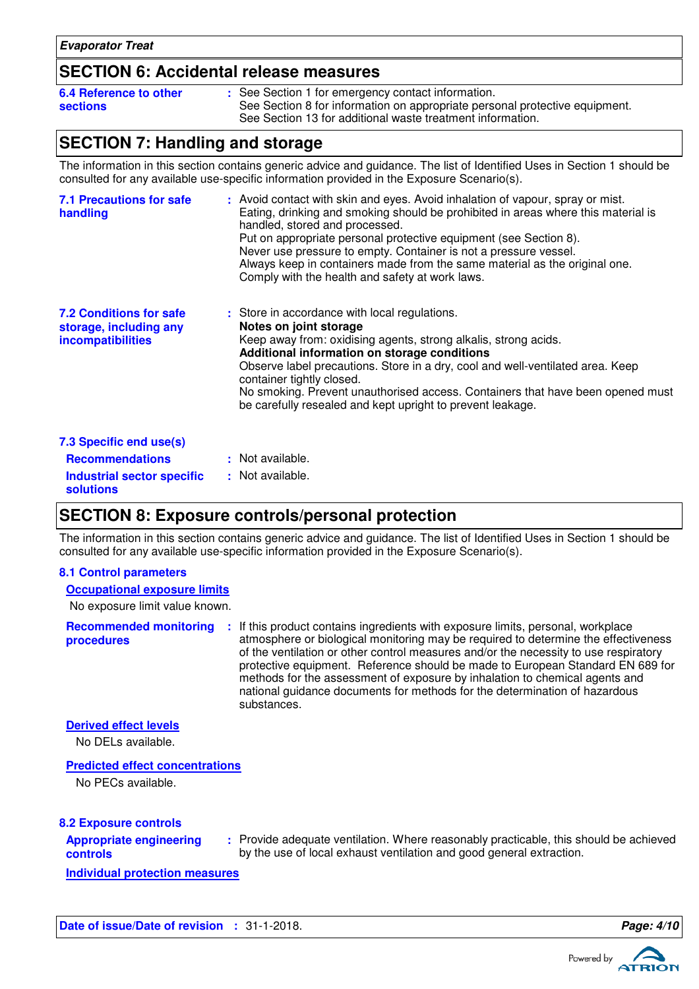### **SECTION 6: Accidental release measures**

| 6.4 Reference to other | : See Section 1 for emergency contact information.                          |
|------------------------|-----------------------------------------------------------------------------|
| sections               | See Section 8 for information on appropriate personal protective equipment. |
|                        | See Section 13 for additional waste treatment information.                  |

### **SECTION 7: Handling and storage**

The information in this section contains generic advice and guidance. The list of Identified Uses in Section 1 should be consulted for any available use-specific information provided in the Exposure Scenario(s).

| <b>7.1 Precautions for safe</b><br>handling                                          | : Avoid contact with skin and eyes. Avoid inhalation of vapour, spray or mist.<br>Eating, drinking and smoking should be prohibited in areas where this material is<br>handled, stored and processed.<br>Put on appropriate personal protective equipment (see Section 8).<br>Never use pressure to empty. Container is not a pressure vessel.<br>Always keep in containers made from the same material as the original one.<br>Comply with the health and safety at work laws. |
|--------------------------------------------------------------------------------------|---------------------------------------------------------------------------------------------------------------------------------------------------------------------------------------------------------------------------------------------------------------------------------------------------------------------------------------------------------------------------------------------------------------------------------------------------------------------------------|
| <b>7.2 Conditions for safe</b><br>storage, including any<br><i>incompatibilities</i> | : Store in accordance with local regulations.<br>Notes on joint storage<br>Keep away from: oxidising agents, strong alkalis, strong acids.<br>Additional information on storage conditions<br>Observe label precautions. Store in a dry, cool and well-ventilated area. Keep<br>container tightly closed.<br>No smoking. Prevent unauthorised access. Containers that have been opened must<br>be carefully resealed and kept upright to prevent leakage.                       |
| 7.3 Specific end use(s)                                                              |                                                                                                                                                                                                                                                                                                                                                                                                                                                                                 |
| <b>Recommendations</b>                                                               | : Not available.                                                                                                                                                                                                                                                                                                                                                                                                                                                                |
| <b>Industrial sector specific</b><br><b>solutions</b>                                | : Not available.                                                                                                                                                                                                                                                                                                                                                                                                                                                                |

### **SECTION 8: Exposure controls/personal protection**

The information in this section contains generic advice and guidance. The list of Identified Uses in Section 1 should be consulted for any available use-specific information provided in the Exposure Scenario(s).

#### **8.1 Control parameters**

#### **Occupational exposure limits**

No exposure limit value known.

**Recommended monitoring procedures :** If this product contains ingredients with exposure limits, personal, workplace atmosphere or biological monitoring may be required to determine the effectiveness of the ventilation or other control measures and/or the necessity to use respiratory protective equipment. Reference should be made to European Standard EN 689 for methods for the assessment of exposure by inhalation to chemical agents and national guidance documents for methods for the determination of hazardous substances.

#### **Derived effect levels**

No DELs available.

### **Predicted effect concentrations**

No PECs available.

#### **8.2 Exposure controls**

| <b>Appropriate engineering</b> |  |
|--------------------------------|--|
| controls                       |  |

Provide adequate ventilation. Where reasonably practicable, this should be achieved **:** by the use of local exhaust ventilation and good general extraction.

**Individual protection measures**

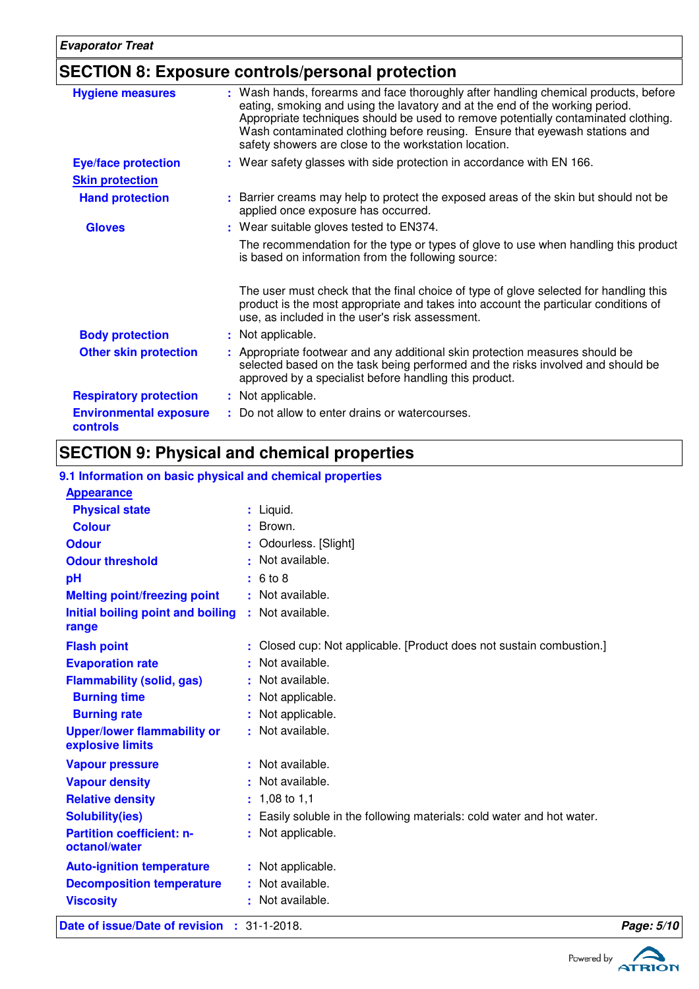# **SECTION 8: Exposure controls/personal protection**

| : Wash hands, forearms and face thoroughly after handling chemical products, before<br><b>Hygiene measures</b><br>eating, smoking and using the lavatory and at the end of the working period.<br>Appropriate techniques should be used to remove potentially contaminated clothing. |  |
|--------------------------------------------------------------------------------------------------------------------------------------------------------------------------------------------------------------------------------------------------------------------------------------|--|
| Wash contaminated clothing before reusing. Ensure that eyewash stations and<br>safety showers are close to the workstation location.                                                                                                                                                 |  |
| : Wear safety glasses with side protection in accordance with EN 166.<br><b>Eye/face protection</b>                                                                                                                                                                                  |  |
| <b>Skin protection</b>                                                                                                                                                                                                                                                               |  |
| : Barrier creams may help to protect the exposed areas of the skin but should not be<br><b>Hand protection</b><br>applied once exposure has occurred.                                                                                                                                |  |
| : Wear suitable gloves tested to EN374.<br><b>Gloves</b>                                                                                                                                                                                                                             |  |
| The recommendation for the type or types of glove to use when handling this product<br>is based on information from the following source:                                                                                                                                            |  |
| The user must check that the final choice of type of glove selected for handling this<br>product is the most appropriate and takes into account the particular conditions of<br>use, as included in the user's risk assessment.                                                      |  |
| <b>Body protection</b><br>: Not applicable.                                                                                                                                                                                                                                          |  |
| : Appropriate footwear and any additional skin protection measures should be<br><b>Other skin protection</b><br>selected based on the task being performed and the risks involved and should be<br>approved by a specialist before handling this product.                            |  |
| <b>Respiratory protection</b><br>: Not applicable.                                                                                                                                                                                                                                   |  |
| : Do not allow to enter drains or watercourses.<br><b>Environmental exposure</b><br>controls                                                                                                                                                                                         |  |

# **SECTION 9: Physical and chemical properties**

### **9.1 Information on basic physical and chemical properties**

| Date of issue/Date of revision                         | $\div$ 31-1-2018.                                                      | Page: 5/10 |
|--------------------------------------------------------|------------------------------------------------------------------------|------------|
| <b>Viscosity</b>                                       | : Not available.                                                       |            |
| <b>Decomposition temperature</b>                       | : Not available.                                                       |            |
| <b>Auto-ignition temperature</b>                       | : Not applicable.                                                      |            |
| octanol/water                                          |                                                                        |            |
| <b>Partition coefficient: n-</b>                       | : Not applicable.                                                      |            |
| <b>Solubility(ies)</b>                                 | : Easily soluble in the following materials: cold water and hot water. |            |
| <b>Relative density</b>                                | $: 1,08$ to 1,1                                                        |            |
| <b>Vapour density</b>                                  | : Not available.                                                       |            |
| <b>Vapour pressure</b>                                 | : Not available.                                                       |            |
| <b>Upper/lower flammability or</b><br>explosive limits | : Not available.                                                       |            |
| <b>Burning rate</b>                                    | : Not applicable.                                                      |            |
| <b>Burning time</b>                                    | : Not applicable.                                                      |            |
| <b>Flammability (solid, gas)</b>                       | : Not available.                                                       |            |
| <b>Evaporation rate</b>                                | : Not available.                                                       |            |
| <b>Flash point</b>                                     | : Closed cup: Not applicable. [Product does not sustain combustion.]   |            |
| range                                                  |                                                                        |            |
| Initial boiling point and boiling                      | : Not available.                                                       |            |
| <b>Melting point/freezing point</b>                    | : Not available.                                                       |            |
| pH                                                     | : 6 to 8                                                               |            |
| <b>Odour threshold</b>                                 | : Not available.                                                       |            |
| <b>Odour</b>                                           | : Odourless. [Slight]                                                  |            |
| <b>Colour</b>                                          | : Brown.                                                               |            |
| <b>Physical state</b>                                  | $:$ Liquid.                                                            |            |
| <b>Appearance</b>                                      |                                                                        |            |

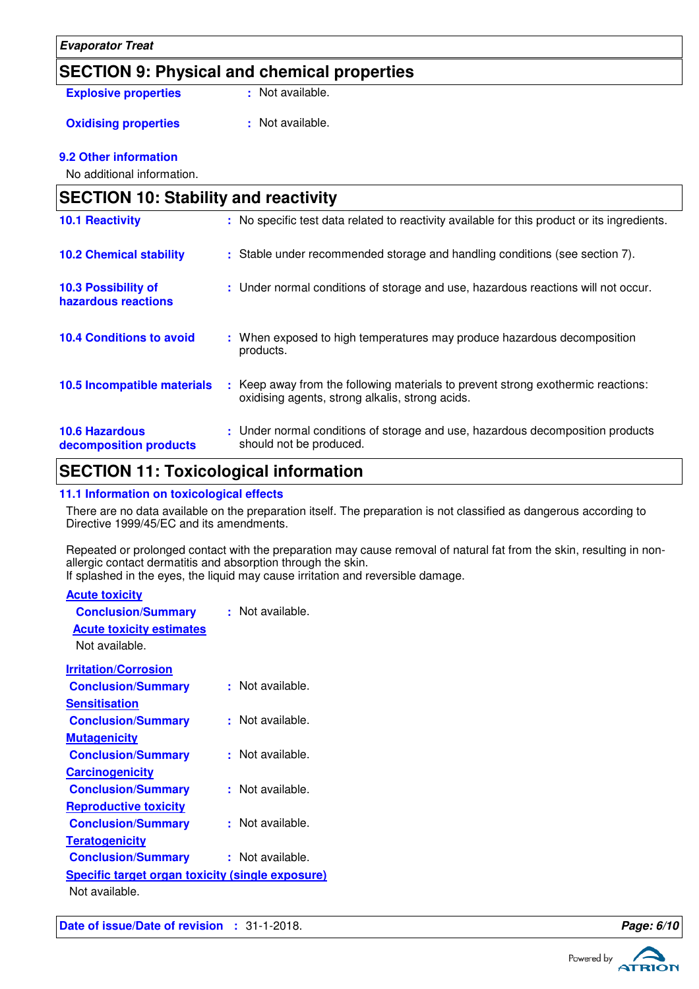### **SECTION 9: Physical and chemical properties**

**Explosive properties : Not available.** 

**Oxidising properties : Not available.** 

### **9.2 Other information**

No additional information.

| <b>SECTION 10: Stability and reactivity</b>     |                                                                                                                                     |  |
|-------------------------------------------------|-------------------------------------------------------------------------------------------------------------------------------------|--|
| <b>10.1 Reactivity</b>                          | : No specific test data related to reactivity available for this product or its ingredients.                                        |  |
| <b>10.2 Chemical stability</b>                  | : Stable under recommended storage and handling conditions (see section 7).                                                         |  |
| 10.3 Possibility of<br>hazardous reactions      | : Under normal conditions of storage and use, hazardous reactions will not occur.                                                   |  |
| <b>10.4 Conditions to avoid</b>                 | : When exposed to high temperatures may produce hazardous decomposition<br>products.                                                |  |
| <b>10.5 Incompatible materials</b>              | : Keep away from the following materials to prevent strong exothermic reactions:<br>oxidising agents, strong alkalis, strong acids. |  |
| <b>10.6 Hazardous</b><br>decomposition products | : Under normal conditions of storage and use, hazardous decomposition products<br>should not be produced.                           |  |

### **SECTION 11: Toxicological information**

### **11.1 Information on toxicological effects**

There are no data available on the preparation itself. The preparation is not classified as dangerous according to Directive 1999/45/EC and its amendments.

Repeated or prolonged contact with the preparation may cause removal of natural fat from the skin, resulting in nonallergic contact dermatitis and absorption through the skin. If splashed in the eyes, the liquid may cause irritation and reversible damage.

| <b>Acute toxicity</b>                                   |                  |
|---------------------------------------------------------|------------------|
| <b>Conclusion/Summary</b>                               | : Not available. |
| <b>Acute toxicity estimates</b>                         |                  |
| Not available.                                          |                  |
| <b>Irritation/Corrosion</b>                             |                  |
| <b>Conclusion/Summary</b>                               | : Not available. |
| <b>Sensitisation</b>                                    |                  |
| <b>Conclusion/Summary</b>                               | Not available.   |
| <b>Mutagenicity</b>                                     |                  |
| <b>Conclusion/Summary</b>                               | Not available.   |
| <b>Carcinogenicity</b>                                  |                  |
| <b>Conclusion/Summary</b>                               | Not available.   |
| <b>Reproductive toxicity</b>                            |                  |
| <b>Conclusion/Summary</b>                               | Not available.   |
| <b>Teratogenicity</b>                                   |                  |
| <b>Conclusion/Summary</b>                               | : Not available. |
| <b>Specific target organ toxicity (single exposure)</b> |                  |
| Not available.                                          |                  |
|                                                         |                  |



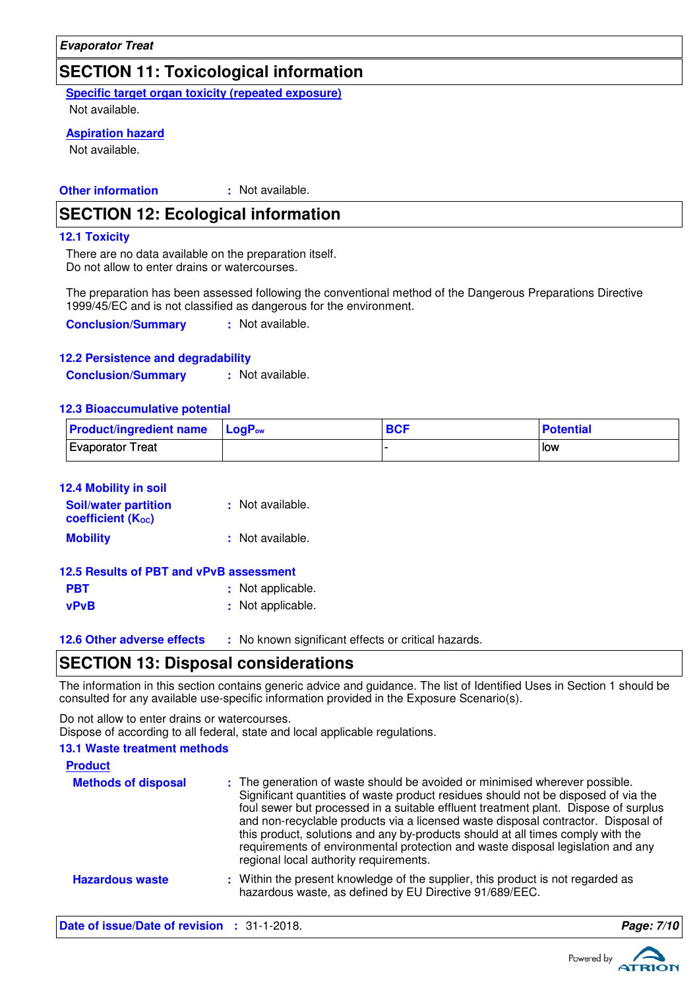### **SECTION 11: Toxicological information**

**Specific target organ toxicity (repeated exposure)**

Not available.

### **Aspiration hazard**

Not available.

#### **Other information :** : Not available.

### **SECTION 12: Ecological information**

#### **12.1 Toxicity**

There are no data available on the preparation itself. Do not allow to enter drains or watercourses.

The preparation has been assessed following the conventional method of the Dangerous Preparations Directive 1999/45/EC and is not classified as dangerous for the environment.

**Conclusion/Summary :** Not available.

#### **12.2 Persistence and degradability**

**Conclusion/Summary :** Not available.

#### **12.3 Bioaccumulative potential**

| <b>Product/ingredient name</b> LogP <sub>ow</sub> |  | <b>BCF</b> | Potential |
|---------------------------------------------------|--|------------|-----------|
| Evaporator Treat                                  |  |            | low       |

| 12.4 Mobility in soil                            |                  |  |  |
|--------------------------------------------------|------------------|--|--|
| <b>Soil/water partition</b><br>coefficient (Koc) | : Not available. |  |  |
| <b>Mobility</b>                                  | : Not available. |  |  |

| 12.5 Results of PBT and vPvB assessment |                   |
|-----------------------------------------|-------------------|
| <b>PBT</b>                              | : Not applicable. |
| <b>vPvB</b>                             | : Not applicable. |

**12.6 Other adverse effects** : No known significant effects or critical hazards.

### **SECTION 13: Disposal considerations**

The information in this section contains generic advice and guidance. The list of Identified Uses in Section 1 should be consulted for any available use-specific information provided in the Exposure Scenario(s).

Do not allow to enter drains or watercourses.

Dispose of according to all federal, state and local applicable regulations.

| <b>13.1 Waste treatment methods</b><br><b>Product</b>                              |                                                                                                                                                                                                                                                                                                                                                                                                                                                                                                                                                               |                  |
|------------------------------------------------------------------------------------|---------------------------------------------------------------------------------------------------------------------------------------------------------------------------------------------------------------------------------------------------------------------------------------------------------------------------------------------------------------------------------------------------------------------------------------------------------------------------------------------------------------------------------------------------------------|------------------|
| <b>Methods of disposal</b>                                                         | : The generation of waste should be avoided or minimised wherever possible.<br>Significant quantities of waste product residues should not be disposed of via the<br>foul sewer but processed in a suitable effluent treatment plant. Dispose of surplus<br>and non-recyclable products via a licensed waste disposal contractor. Disposal of<br>this product, solutions and any by-products should at all times comply with the<br>requirements of environmental protection and waste disposal legislation and any<br>regional local authority requirements. |                  |
| <b>Hazardous waste</b>                                                             | : Within the present knowledge of the supplier, this product is not regarded as<br>hazardous waste, as defined by EU Directive 91/689/EEC.                                                                                                                                                                                                                                                                                                                                                                                                                    |                  |
| $\mathbf{Data}$ of ignua ( $\mathbf{Data}$ of variator $\mathbf{A}$ . 21, 1, 2010) |                                                                                                                                                                                                                                                                                                                                                                                                                                                                                                                                                               | $D_{0}$ an $7/2$ |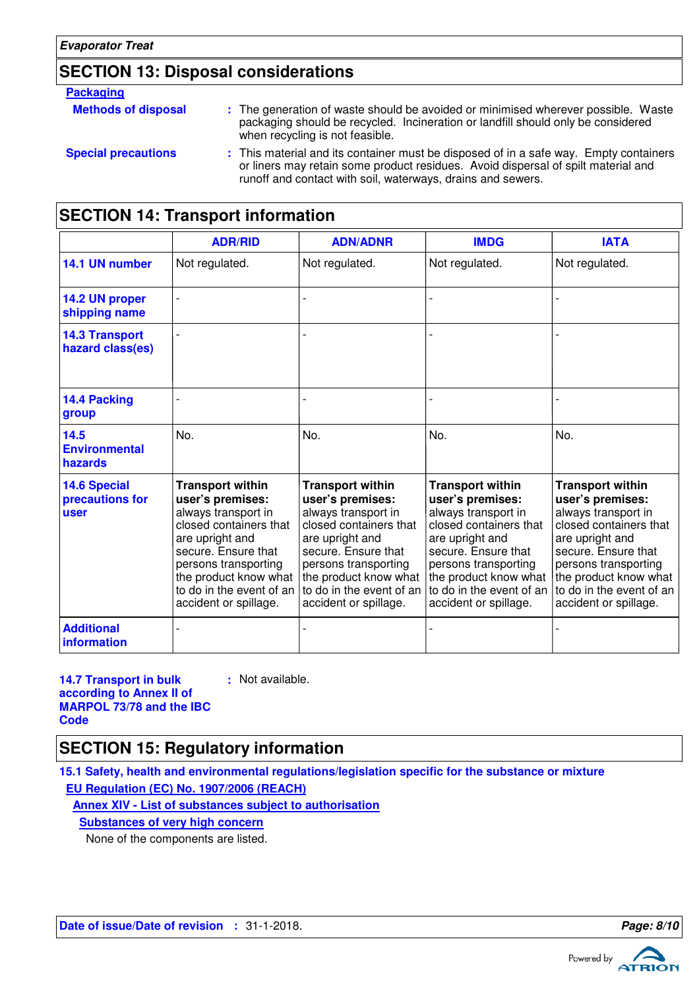# **SECTION 13: Disposal considerations**

#### **Packaging**

| <b>Methods of disposal</b> | : The generation of waste should be avoided or minimised wherever possible. Waste<br>packaging should be recycled. Incineration or landfill should only be considered<br>when recycling is not feasible.                                  |
|----------------------------|-------------------------------------------------------------------------------------------------------------------------------------------------------------------------------------------------------------------------------------------|
| <b>Special precautions</b> | : This material and its container must be disposed of in a safe way. Empty containers<br>or liners may retain some product residues. Avoid dispersal of spilt material and<br>runoff and contact with soil, waterways, drains and sewers. |

# **SECTION 14: Transport information**

|                                                       | <b>ADR/RID</b>                                                                                                                                                                                                                               | <b>ADN/ADNR</b>                                                                                                                                                                                                                              | <b>IMDG</b>                                                                                                                                                                                                                                  | <b>IATA</b>                                                                                                                                                                                                                                  |
|-------------------------------------------------------|----------------------------------------------------------------------------------------------------------------------------------------------------------------------------------------------------------------------------------------------|----------------------------------------------------------------------------------------------------------------------------------------------------------------------------------------------------------------------------------------------|----------------------------------------------------------------------------------------------------------------------------------------------------------------------------------------------------------------------------------------------|----------------------------------------------------------------------------------------------------------------------------------------------------------------------------------------------------------------------------------------------|
| 14.1 UN number                                        | Not regulated.                                                                                                                                                                                                                               | Not regulated.                                                                                                                                                                                                                               | Not regulated.                                                                                                                                                                                                                               | Not regulated.                                                                                                                                                                                                                               |
| 14.2 UN proper<br>shipping name                       |                                                                                                                                                                                                                                              |                                                                                                                                                                                                                                              |                                                                                                                                                                                                                                              |                                                                                                                                                                                                                                              |
| <b>14.3 Transport</b><br>hazard class(es)             |                                                                                                                                                                                                                                              |                                                                                                                                                                                                                                              |                                                                                                                                                                                                                                              |                                                                                                                                                                                                                                              |
| 14.4 Packing<br>group                                 |                                                                                                                                                                                                                                              |                                                                                                                                                                                                                                              |                                                                                                                                                                                                                                              |                                                                                                                                                                                                                                              |
| 14.5<br><b>Environmental</b><br>hazards               | No.                                                                                                                                                                                                                                          | No.                                                                                                                                                                                                                                          | No.                                                                                                                                                                                                                                          | No.                                                                                                                                                                                                                                          |
| <b>14.6 Special</b><br>precautions for<br><b>user</b> | <b>Transport within</b><br>user's premises:<br>always transport in<br>closed containers that<br>are upright and<br>secure. Ensure that<br>persons transporting<br>the product know what<br>to do in the event of an<br>accident or spillage. | <b>Transport within</b><br>user's premises:<br>always transport in<br>closed containers that<br>are upright and<br>secure. Ensure that<br>persons transporting<br>the product know what<br>to do in the event of an<br>accident or spillage. | <b>Transport within</b><br>user's premises:<br>always transport in<br>closed containers that<br>are upright and<br>secure. Ensure that<br>persons transporting<br>the product know what<br>to do in the event of an<br>accident or spillage. | <b>Transport within</b><br>user's premises:<br>always transport in<br>closed containers that<br>are upright and<br>secure. Ensure that<br>persons transporting<br>the product know what<br>to do in the event of an<br>accident or spillage. |
| <b>Additional</b><br>information                      |                                                                                                                                                                                                                                              |                                                                                                                                                                                                                                              |                                                                                                                                                                                                                                              |                                                                                                                                                                                                                                              |

**14.7 Transport in bulk according to Annex II of MARPOL 73/78 and the IBC Code**

**:** Not available.

# **SECTION 15: Regulatory information**

**15.1 Safety, health and environmental regulations/legislation specific for the substance or mixture EU Regulation (EC) No. 1907/2006 (REACH)**

**Annex XIV - List of substances subject to authorisation**

**Substances of very high concern**

None of the components are listed.

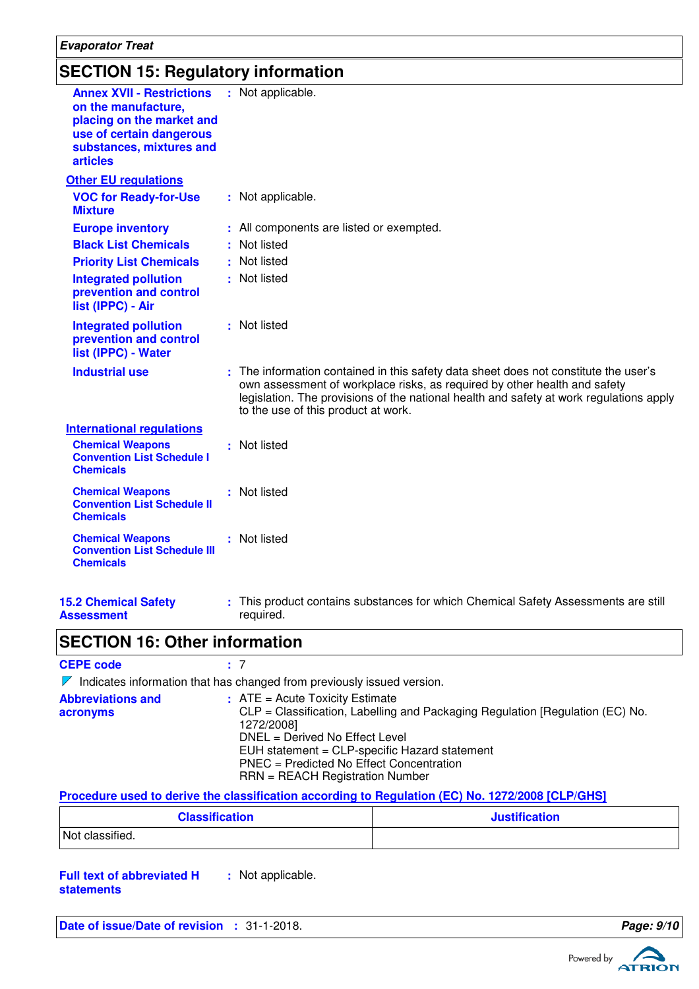#### **Evaporator Treat**

### **SECTION 15: Regulatory information**

| <b>Annex XVII - Restrictions</b><br>on the manufacture,<br>placing on the market and<br>use of certain dangerous<br>substances, mixtures and<br><b>articles</b> | : Not applicable.                                                                                                                                                                                                                                                                                   |
|-----------------------------------------------------------------------------------------------------------------------------------------------------------------|-----------------------------------------------------------------------------------------------------------------------------------------------------------------------------------------------------------------------------------------------------------------------------------------------------|
| <b>Other EU regulations</b>                                                                                                                                     |                                                                                                                                                                                                                                                                                                     |
| <b>VOC for Ready-for-Use</b><br><b>Mixture</b>                                                                                                                  | : Not applicable.                                                                                                                                                                                                                                                                                   |
| <b>Europe inventory</b>                                                                                                                                         | : All components are listed or exempted.                                                                                                                                                                                                                                                            |
| <b>Black List Chemicals</b>                                                                                                                                     | : Not listed                                                                                                                                                                                                                                                                                        |
| <b>Priority List Chemicals</b>                                                                                                                                  | : Not listed                                                                                                                                                                                                                                                                                        |
| <b>Integrated pollution</b><br>prevention and control<br>list (IPPC) - Air                                                                                      | : Not listed                                                                                                                                                                                                                                                                                        |
| <b>Integrated pollution</b><br>prevention and control<br>list (IPPC) - Water                                                                                    | : Not listed                                                                                                                                                                                                                                                                                        |
| <b>Industrial use</b>                                                                                                                                           | : The information contained in this safety data sheet does not constitute the user's<br>own assessment of workplace risks, as required by other health and safety<br>legislation. The provisions of the national health and safety at work regulations apply<br>to the use of this product at work. |
| <b>International regulations</b>                                                                                                                                |                                                                                                                                                                                                                                                                                                     |
| <b>Chemical Weapons</b><br><b>Convention List Schedule I</b><br><b>Chemicals</b>                                                                                | : Not listed                                                                                                                                                                                                                                                                                        |
| <b>Chemical Weapons</b><br><b>Convention List Schedule II</b><br><b>Chemicals</b>                                                                               | : Not listed                                                                                                                                                                                                                                                                                        |
| <b>Chemical Weapons</b><br><b>Convention List Schedule III</b><br><b>Chemicals</b>                                                                              | : Not listed                                                                                                                                                                                                                                                                                        |
|                                                                                                                                                                 |                                                                                                                                                                                                                                                                                                     |

#### **15.2 Chemical Safety Assessment**

This product contains substances for which Chemical Safety Assessments are still **:** required.

### **SECTION 16: Other information**

#### **CEPE code :** 7  $\nabla$  Indicates information that has changed from previously issued version. **Abbreviations and acronyms :** ATE = Acute Toxicity Estimate CLP = Classification, Labelling and Packaging Regulation [Regulation (EC) No. 1272/2008] DNEL = Derived No Effect Level EUH statement = CLP-specific Hazard statement PNEC = Predicted No Effect Concentration RRN = REACH Registration Number

#### **Procedure used to derive the classification according to Regulation (EC) No. 1272/2008 [CLP/GHS]**

| <b>Classification</b> | <b>Justification</b> |
|-----------------------|----------------------|
| Not classified.       |                      |

**Full text of abbreviated H statements :** Not applicable.

```
Date of issue/Date of revision : 31-1-2018. Page: 9/10 Page: 9/10
```